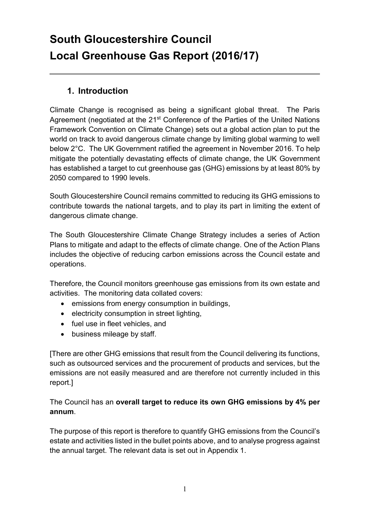# **South Gloucestershire Council Local Greenhouse Gas Report (2016/17)**

#### **1. Introduction**

Climate Change is recognised as being a significant global threat. The Paris Agreement (negotiated at the 21<sup>st</sup> Conference of the Parties of the United Nations Framework Convention on Climate Change) sets out a global action plan to put the world on track to avoid dangerous climate change by limiting global warming to well below 2°C. The UK Government ratified the agreement in November 2016. To help mitigate the potentially devastating effects of climate change, the UK Government has established a target to cut greenhouse gas (GHG) emissions by at least 80% by 2050 compared to 1990 levels.

South Gloucestershire Council remains committed to reducing its GHG emissions to contribute towards the national targets, and to play its part in limiting the extent of dangerous climate change.

The South Gloucestershire Climate Change Strategy includes a series of Action Plans to mitigate and adapt to the effects of climate change. One of the Action Plans includes the objective of reducing carbon emissions across the Council estate and operations.

Therefore, the Council monitors greenhouse gas emissions from its own estate and activities. The monitoring data collated covers:

- emissions from energy consumption in buildings,
- electricity consumption in street lighting,
- fuel use in fleet vehicles, and
- business mileage by staff.

[There are other GHG emissions that result from the Council delivering its functions, such as outsourced services and the procurement of products and services, but the emissions are not easily measured and are therefore not currently included in this report.]

The Council has an **overall target to reduce its own GHG emissions by 4% per annum**.

The purpose of this report is therefore to quantify GHG emissions from the Council's estate and activities listed in the bullet points above, and to analyse progress against the annual target. The relevant data is set out in Appendix 1.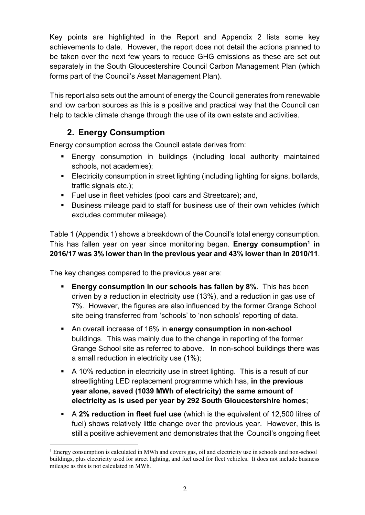Key points are highlighted in the Report and Appendix 2 lists some key achievements to date. However, the report does not detail the actions planned to be taken over the next few years to reduce GHG emissions as these are set out separately in the South Gloucestershire Council Carbon Management Plan (which forms part of the Council's Asset Management Plan).

This report also sets out the amount of energy the Council generates from renewable and low carbon sources as this is a positive and practical way that the Council can help to tackle climate change through the use of its own estate and activities.

## **2. Energy Consumption**

Energy consumption across the Council estate derives from:

- Energy consumption in buildings (including local authority maintained schools, not academies);
- Electricity consumption in street lighting (including lighting for signs, bollards, traffic signals etc.);
- Fuel use in fleet vehicles (pool cars and Streetcare); and,
- Business mileage paid to staff for business use of their own vehicles (which excludes commuter mileage).

Table 1 (Appendix 1) shows a breakdown of the Council's total energy consumption. This has fallen year on year since monitoring began. **Energy consumption<sup>1</sup> in 2016/17 was 3% lower than in the previous year and 43% lower than in 2010/11**.

The key changes compared to the previous year are:

 $\overline{a}$ 

- **Energy consumption in our schools has fallen by 8%**. This has been driven by a reduction in electricity use (13%), and a reduction in gas use of 7%. However, the figures are also influenced by the former Grange School site being transferred from 'schools' to 'non schools' reporting of data.
- An overall increase of 16% in **energy consumption in non-school** buildings. This was mainly due to the change in reporting of the former Grange School site as referred to above. In non-school buildings there was a small reduction in electricity use (1%);
- A 10% reduction in electricity use in street lighting. This is a result of our streetlighting LED replacement programme which has, **in the previous year alone, saved (1039 MWh of electricity) the same amount of electricity as is used per year by 292 South Gloucestershire homes**;
- A **2% reduction in fleet fuel use** (which is the equivalent of 12,500 litres of fuel) shows relatively little change over the previous year. However, this is still a positive achievement and demonstrates that the Council's ongoing fleet

 $<sup>1</sup>$  Energy consumption is calculated in MWh and covers gas, oil and electricity use in schools and non-school</sup> buildings, plus electricity used for street lighting, and fuel used for fleet vehicles. It does not include business mileage as this is not calculated in MWh.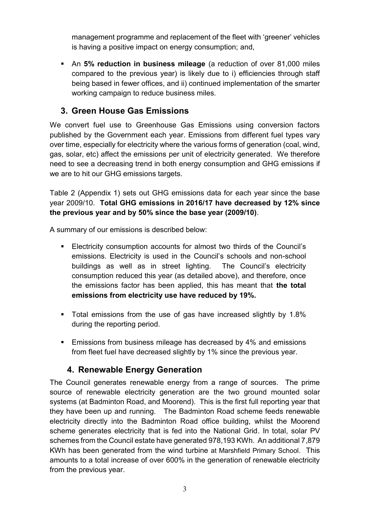management programme and replacement of the fleet with 'greener' vehicles is having a positive impact on energy consumption; and,

 An **5% reduction in business mileage** (a reduction of over 81,000 miles compared to the previous year) is likely due to i) efficiencies through staff being based in fewer offices, and ii) continued implementation of the smarter working campaign to reduce business miles.

#### **3. Green House Gas Emissions**

We convert fuel use to Greenhouse Gas Emissions using conversion factors published by the Government each year. Emissions from different fuel types vary over time, especially for electricity where the various forms of generation (coal, wind, gas, solar, etc) affect the emissions per unit of electricity generated. We therefore need to see a decreasing trend in both energy consumption and GHG emissions if we are to hit our GHG emissions targets.

Table 2 (Appendix 1) sets out GHG emissions data for each year since the base year 2009/10. **Total GHG emissions in 2016/17 have decreased by 12% since the previous year and by 50% since the base year (2009/10)**.

A summary of our emissions is described below:

- Electricity consumption accounts for almost two thirds of the Council's emissions. Electricity is used in the Council's schools and non-school buildings as well as in street lighting. The Council's electricity consumption reduced this year (as detailed above), and therefore, once the emissions factor has been applied, this has meant that **the total emissions from electricity use have reduced by 19%.**
- Total emissions from the use of gas have increased slightly by 1.8% during the reporting period.
- **Emissions from business mileage has decreased by 4% and emissions** from fleet fuel have decreased slightly by 1% since the previous year.

#### **4. Renewable Energy Generation**

The Council generates renewable energy from a range of sources. The prime source of renewable electricity generation are the two ground mounted solar systems (at Badminton Road, and Moorend). This is the first full reporting year that they have been up and running. The Badminton Road scheme feeds renewable electricity directly into the Badminton Road office building, whilst the Moorend scheme generates electricity that is fed into the National Grid. In total, solar PV schemes from the Council estate have generated 978,193 KWh. An additional 7,879 KWh has been generated from the wind turbine at Marshfield Primary School. This amounts to a total increase of over 600% in the generation of renewable electricity from the previous year.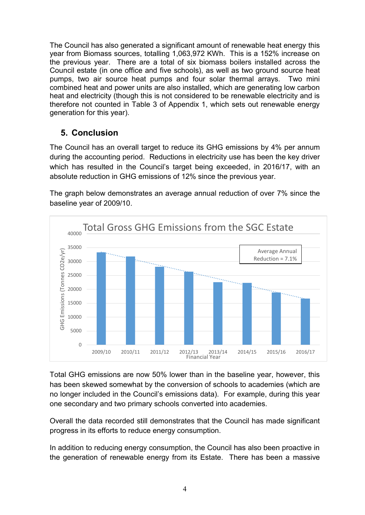The Council has also generated a significant amount of renewable heat energy this year from Biomass sources, totalling 1,063,972 KWh. This is a 152% increase on the previous year. There are a total of six biomass boilers installed across the Council estate (in one office and five schools), as well as two ground source heat pumps, two air source heat pumps and four solar thermal arrays. Two mini combined heat and power units are also installed, which are generating low carbon heat and electricity (though this is not considered to be renewable electricity and is therefore not counted in Table 3 of Appendix 1, which sets out renewable energy generation for this year).

### **5. Conclusion**

The Council has an overall target to reduce its GHG emissions by 4% per annum during the accounting period. Reductions in electricity use has been the key driver which has resulted in the Council's target being exceeded, in 2016/17, with an absolute reduction in GHG emissions of 12% since the previous year.

The graph below demonstrates an average annual reduction of over 7% since the baseline year of 2009/10.



Total GHG emissions are now 50% lower than in the baseline year, however, this has been skewed somewhat by the conversion of schools to academies (which are no longer included in the Council's emissions data). For example, during this year one secondary and two primary schools converted into academies.

Overall the data recorded still demonstrates that the Council has made significant progress in its efforts to reduce energy consumption.

In addition to reducing energy consumption, the Council has also been proactive in the generation of renewable energy from its Estate. There has been a massive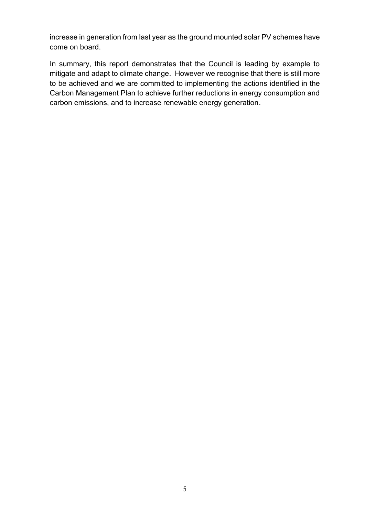increase in generation from last year as the ground mounted solar PV schemes have come on board.

In summary, this report demonstrates that the Council is leading by example to mitigate and adapt to climate change. However we recognise that there is still more to be achieved and we are committed to implementing the actions identified in the Carbon Management Plan to achieve further reductions in energy consumption and carbon emissions, and to increase renewable energy generation.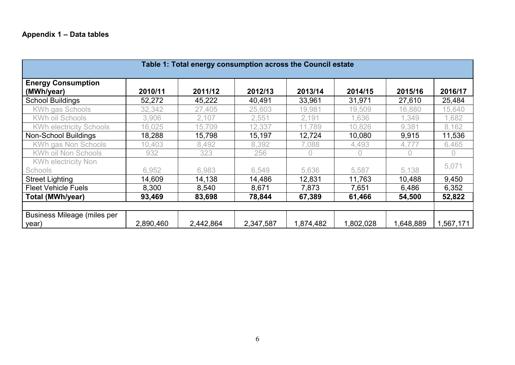| Table 1: Total energy consumption across the Council estate |           |           |           |           |           |           |           |
|-------------------------------------------------------------|-----------|-----------|-----------|-----------|-----------|-----------|-----------|
| <b>Energy Consumption</b><br>(MWh/year)                     | 2010/11   | 2011/12   | 2012/13   | 2013/14   | 2014/15   | 2015/16   | 2016/17   |
| <b>School Buildings</b>                                     | 52,272    | 45,222    | 40,491    | 33,961    | 31,971    | 27,610    | 25,484    |
| KWh gas Schools                                             | 32,342    | 27,405    | 25,603    | 19,981    | 19,509    | 16,880    | 15,640    |
| <b>KWh oil Schools</b>                                      | 3,906     | 2,107     | 2,551     | 2,191     | ,636      | 1,349     | ,682      |
| <b>KWh electricity Schools</b>                              | 16,025    | 15,709    | 12,337    | 11,789    | 10,826    | 9,381     | 8,162     |
| Non-School Buildings                                        | 18,288    | 15,798    | 15,197    | 12,724    | 10,080    | 9,915     | 11,536    |
| KWh gas Non Schools                                         | 10,403    | 8,492     | 8,392     | 7,088     | 4,493     | 4,777     | 6,465     |
| KWh oil Non Schools                                         | 932       | 323       | 256       | 0         | $\Omega$  | 0         | 0         |
| <b>KWh electricity Non</b>                                  |           |           |           |           |           |           | 5,071     |
| <b>Schools</b>                                              | 6,952     | 6,983     | 6,549     | 5,636     | 5,587     | 5,138     |           |
| <b>Street Lighting</b>                                      | 14,609    | 14,138    | 14,486    | 12,831    | 11,763    | 10,488    | 9,450     |
| <b>Fleet Vehicle Fuels</b>                                  | 8,300     | 8,540     | 8,671     | 7,873     | 7,651     | 6,486     | 6,352     |
| <b>Total (MWh/year)</b>                                     | 93,469    | 83,698    | 78,844    | 67,389    | 61,466    | 54,500    | 52,822    |
|                                                             |           |           |           |           |           |           |           |
| Business Mileage (miles per                                 |           |           |           |           |           |           |           |
| year)                                                       | 2,890,460 | 2,442,864 | 2,347,587 | 1,874,482 | 1,802,028 | 1,648,889 | 1,567,171 |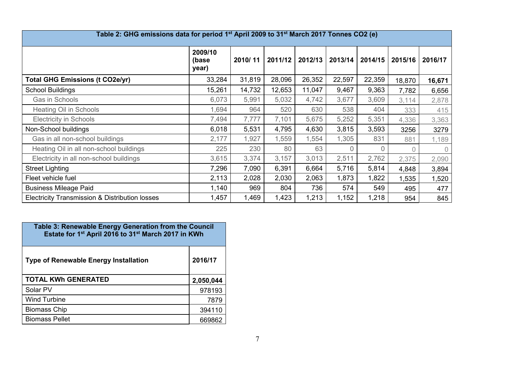| Table 2: GHG emissions data for period 1 <sup>st</sup> April 2009 to 31 <sup>st</sup> March 2017 Tonnes CO2 (e) |                           |         |         |         |          |          |         |          |
|-----------------------------------------------------------------------------------------------------------------|---------------------------|---------|---------|---------|----------|----------|---------|----------|
|                                                                                                                 | 2009/10<br>(base<br>year) | 2010/11 | 2011/12 | 2012/13 | 2013/14  | 2014/15  | 2015/16 | 2016/17  |
| <b>Total GHG Emissions (t CO2e/yr)</b>                                                                          | 33,284                    | 31,819  | 28,096  | 26,352  | 22,597   | 22,359   | 18,870  | 16,671   |
| <b>School Buildings</b>                                                                                         | 15,261                    | 14,732  | 12,653  | 11,047  | 9,467    | 9,363    | 7,782   | 6,656    |
| Gas in Schools                                                                                                  | 6,073                     | 5,991   | 5,032   | 4,742   | 3,677    | 3,609    | 3,114   | 2,878    |
| <b>Heating Oil in Schools</b>                                                                                   | 1,694                     | 964     | 520     | 630     | 538      | 404      | 333     | 415      |
| <b>Electricity in Schools</b>                                                                                   | 7,494                     | 7,777   | 7,101   | 5,675   | 5,252    | 5,351    | 4,336   | 3,363    |
| Non-School buildings                                                                                            | 6,018                     | 5,531   | 4,795   | 4,630   | 3,815    | 3,593    | 3256    | 3279     |
| Gas in all non-school buildings                                                                                 | 2,177                     | 1,927   | 1,559   | 1,554   | 1,305    | 831      | 881     | 1,189    |
| Heating Oil in all non-school buildings                                                                         | 225                       | 230     | 80      | 63      | $\Omega$ | $\Omega$ | 0       | $\Omega$ |
| Electricity in all non-school buildings                                                                         | 3,615                     | 3,374   | 3,157   | 3,013   | 2,511    | 2,762    | 2,375   | 2,090    |
| <b>Street Lighting</b>                                                                                          | 7,296                     | 7,090   | 6,391   | 6,664   | 5,716    | 5,814    | 4,848   | 3,894    |
| Fleet vehicle fuel                                                                                              | 2,113                     | 2,028   | 2,030   | 2,063   | 1,873    | 1,822    | 1,535   | 1,520    |
| <b>Business Mileage Paid</b>                                                                                    | 1,140                     | 969     | 804     | 736     | 574      | 549      | 495     | 477      |
| Electricity Transmission & Distribution losses                                                                  | 1,457                     | 1,469   | 1,423   | 1,213   | 1,152    | 1,218    | 954     | 845      |

| Table 3: Renewable Energy Generation from the Council<br>Estate for 1 <sup>st</sup> April 2016 to 31 <sup>st</sup> March 2017 in KWh |           |  |  |  |
|--------------------------------------------------------------------------------------------------------------------------------------|-----------|--|--|--|
| <b>Type of Renewable Energy Installation</b>                                                                                         | 2016/17   |  |  |  |
| <b>TOTAL KWh GENERATED</b>                                                                                                           | 2,050,044 |  |  |  |
| Solar PV                                                                                                                             | 978193    |  |  |  |
| <b>Wind Turbine</b>                                                                                                                  | 7879      |  |  |  |
| <b>Biomass Chip</b>                                                                                                                  | 394110    |  |  |  |
| <b>Biomass Pellet</b>                                                                                                                | 669862    |  |  |  |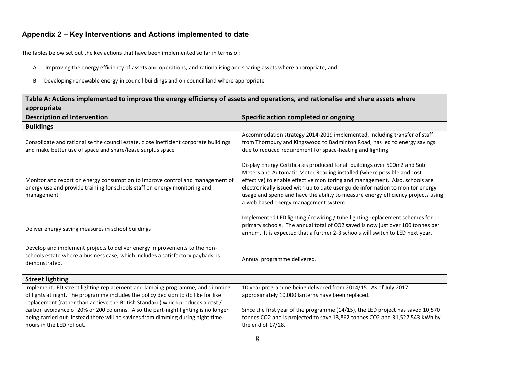#### **Appendix 2 – Key Interventions and Actions implemented to date**

The tables below set out the key actions that have been implemented so far in terms of:

- A. Improving the energy efficiency of assets and operations, and rationalising and sharing assets where appropriate; and
- B. Developing renewable energy in council buildings and on council land where appropriate

| Table A: Actions implemented to improve the energy efficiency of assets and operations, and rationalise and share assets where                                                                                                                       |                                                                                                                                                                                                                                                                                                                                                                                                                                                  |  |  |  |
|------------------------------------------------------------------------------------------------------------------------------------------------------------------------------------------------------------------------------------------------------|--------------------------------------------------------------------------------------------------------------------------------------------------------------------------------------------------------------------------------------------------------------------------------------------------------------------------------------------------------------------------------------------------------------------------------------------------|--|--|--|
| appropriate                                                                                                                                                                                                                                          |                                                                                                                                                                                                                                                                                                                                                                                                                                                  |  |  |  |
| <b>Description of Intervention</b>                                                                                                                                                                                                                   | Specific action completed or ongoing                                                                                                                                                                                                                                                                                                                                                                                                             |  |  |  |
| <b>Buildings</b>                                                                                                                                                                                                                                     |                                                                                                                                                                                                                                                                                                                                                                                                                                                  |  |  |  |
| Consolidate and rationalise the council estate, close inefficient corporate buildings<br>and make better use of space and share/lease surplus space                                                                                                  | Accommodation strategy 2014-2019 implemented, including transfer of staff<br>from Thornbury and Kingswood to Badminton Road, has led to energy savings<br>due to reduced requirement for space-heating and lighting                                                                                                                                                                                                                              |  |  |  |
| Monitor and report on energy consumption to improve control and management of<br>energy use and provide training for schools staff on energy monitoring and<br>management                                                                            | Display Energy Certificates produced for all buildings over 500m2 and Sub<br>Meters and Automatic Meter Reading installed (where possible and cost<br>effective) to enable effective monitoring and management. Also, schools are<br>electronically issued with up to date user guide information to monitor energy<br>usage and spend and have the ability to measure energy efficiency projects using<br>a web based energy management system. |  |  |  |
| Deliver energy saving measures in school buildings                                                                                                                                                                                                   | Implemented LED lighting / rewiring / tube lighting replacement schemes for 11<br>primary schools. The annual total of CO2 saved is now just over 100 tonnes per<br>annum. It is expected that a further 2-3 schools will switch to LED next year.                                                                                                                                                                                               |  |  |  |
| Develop and implement projects to deliver energy improvements to the non-<br>schools estate where a business case, which includes a satisfactory payback, is<br>demonstrated.                                                                        | Annual programme delivered.                                                                                                                                                                                                                                                                                                                                                                                                                      |  |  |  |
| <b>Street lighting</b>                                                                                                                                                                                                                               |                                                                                                                                                                                                                                                                                                                                                                                                                                                  |  |  |  |
| Implement LED street lighting replacement and lamping programme, and dimming<br>of lights at night. The programme includes the policy decision to do like for like<br>replacement (rather than achieve the British Standard) which produces a cost / | 10 year programme being delivered from 2014/15. As of July 2017<br>approximately 10,000 lanterns have been replaced.                                                                                                                                                                                                                                                                                                                             |  |  |  |
| carbon avoidance of 20% or 200 columns. Also the part-night lighting is no longer<br>being carried out. Instead there will be savings from dimming during night time<br>hours in the LED rollout.                                                    | Since the first year of the programme (14/15), the LED project has saved 10,570<br>tonnes CO2 and is projected to save 13,862 tonnes CO2 and 31,527,543 KWh by<br>the end of 17/18.                                                                                                                                                                                                                                                              |  |  |  |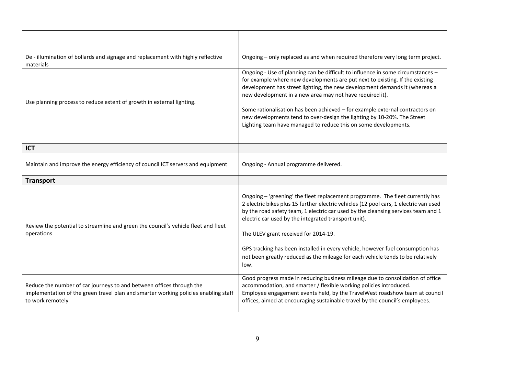| De - illumination of bollards and signage and replacement with highly reflective<br>materials                                                                                   | Ongoing - only replaced as and when required therefore very long term project.                                                                                                                                                                                                                                                                                                                                                                                                                                                           |  |  |
|---------------------------------------------------------------------------------------------------------------------------------------------------------------------------------|------------------------------------------------------------------------------------------------------------------------------------------------------------------------------------------------------------------------------------------------------------------------------------------------------------------------------------------------------------------------------------------------------------------------------------------------------------------------------------------------------------------------------------------|--|--|
| Use planning process to reduce extent of growth in external lighting.                                                                                                           | Ongoing - Use of planning can be difficult to influence in some circumstances -<br>for example where new developments are put next to existing. If the existing<br>development has street lighting, the new development demands it (whereas a<br>new development in a new area may not have required it).<br>Some rationalisation has been achieved - for example external contractors on<br>new developments tend to over-design the lighting by 10-20%. The Street<br>Lighting team have managed to reduce this on some developments.  |  |  |
| <b>ICT</b>                                                                                                                                                                      |                                                                                                                                                                                                                                                                                                                                                                                                                                                                                                                                          |  |  |
| Maintain and improve the energy efficiency of council ICT servers and equipment                                                                                                 | Ongoing - Annual programme delivered.                                                                                                                                                                                                                                                                                                                                                                                                                                                                                                    |  |  |
| <b>Transport</b>                                                                                                                                                                |                                                                                                                                                                                                                                                                                                                                                                                                                                                                                                                                          |  |  |
| Review the potential to streamline and green the council's vehicle fleet and fleet<br>operations                                                                                | Ongoing - 'greening' the fleet replacement programme. The fleet currently has<br>2 electric bikes plus 15 further electric vehicles (12 pool cars, 1 electric van used<br>by the road safety team, 1 electric car used by the cleansing services team and 1<br>electric car used by the integrated transport unit).<br>The ULEV grant received for 2014-19.<br>GPS tracking has been installed in every vehicle, however fuel consumption has<br>not been greatly reduced as the mileage for each vehicle tends to be relatively<br>low. |  |  |
| Reduce the number of car journeys to and between offices through the<br>implementation of the green travel plan and smarter working policies enabling staff<br>to work remotely | Good progress made in reducing business mileage due to consolidation of office<br>accommodation, and smarter / flexible working policies introduced.<br>Employee engagement events held, by the TravelWest roadshow team at council<br>offices, aimed at encouraging sustainable travel by the council's employees.                                                                                                                                                                                                                      |  |  |